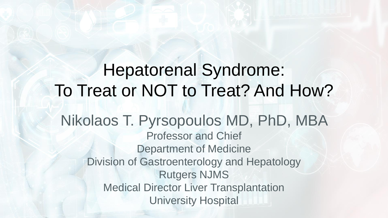### Hepatorenal Syndrome: To Treat or NOT to Treat? And How?

Nikolaos T. Pyrsopoulos MD, PhD, MBA Professor and Chief Department of Medicine Division of Gastroenterology and Hepatology Rutgers NJMS Medical Director Liver Transplantation University Hospital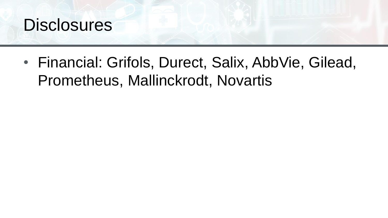

• Financial: Grifols, Durect, Salix, AbbVie, Gilead, Prometheus, Mallinckrodt, Novartis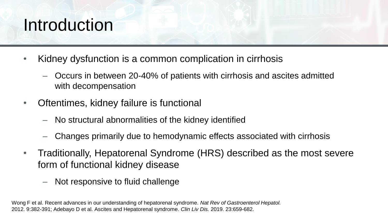### **Introduction**

- Kidney dysfunction is a common complication in cirrhosis
	- Occurs in between 20-40% of patients with cirrhosis and ascites admitted with decompensation
- Oftentimes, kidney failure is functional
	- No structural abnormalities of the kidney identified
	- Changes primarily due to hemodynamic effects associated with cirrhosis
- Traditionally, Hepatorenal Syndrome (HRS) described as the most severe form of functional kidney disease
	- Not responsive to fluid challenge

Wong F et al. Recent advances in our understanding of hepatorenal syndrome. *Nat Rev of Gastroenterol Hepatol.* 2012. 9:382-391; Adebayo D et al. Ascites and Hepatorenal syndrome. *Clin Liv Dis.* 2019. 23:659-682.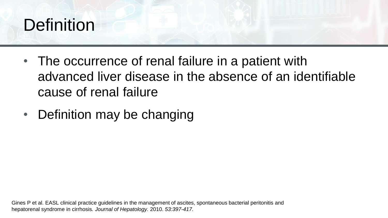

- The occurrence of renal failure in a patient with advanced liver disease in the absence of an identifiable cause of renal failure
- Definition may be changing

Gines P et al. EASL clinical practice guidelines in the management of ascites, spontaneous bacterial peritonitis and hepatorenal syndrome in cirrhosis*. Journal of Hepatology.* 2010. *53:397-417.*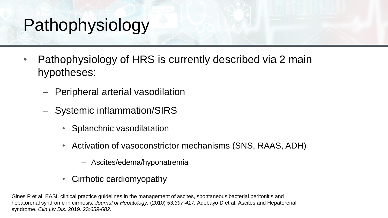# Pathophysiology

- Pathophysiology of HRS is currently described via 2 main hypotheses:
	- Peripheral arterial vasodilation
	- Systemic inflammation/SIRS
		- Splanchnic vasodilatation
		- Activation of vasoconstrictor mechanisms (SNS, RAAS, ADH)
			- Ascites/edema/hyponatremia
		- Cirrhotic cardiomyopathy

Gines P et al. EASL clinical practice guidelines in the management of ascites, spontaneous bacterial peritonitis and hepatorenal syndrome in cirrhosis*. Journal of Hepatology.* (2010) *53:397-417;* Adebayo D et al. Ascites and Hepatorenal syndrome. *Clin Liv Dis.* 2019. 23*:659-682.*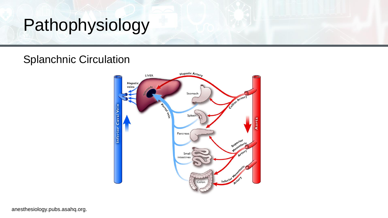# Pathophysiology

#### Splanchnic Circulation

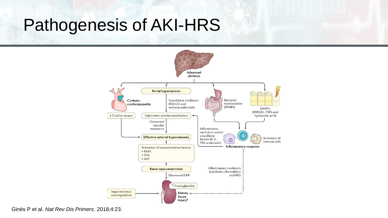### Pathogenesis of AKI-HRS



Ginès P et al. *Nat Rev Dis Primers*. 2018;4:23.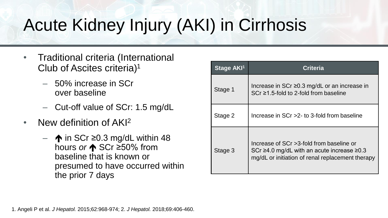# Acute Kidney Injury (AKI) in Cirrhosis

- Traditional criteria (International Club of Ascites criteria)<sup>1</sup>
	- 50% increase in SCr over baseline
	- Cut-off value of SCr: 1.5 mg/dL
- New definition of AKI<sup>2</sup>
	- $-$  ↑ in SCr ≥0.3 mg/dL within 48 hours *or* ↑ SCr ≥50% from baseline that is known or presumed to have occurred within the prior 7 days

| Stage AKI <sup>1</sup> | Criteria                                                                                                                                               |  |
|------------------------|--------------------------------------------------------------------------------------------------------------------------------------------------------|--|
| Stage 1                | Increase in SCr $\geq$ 0.3 mg/dL or an increase in<br>$SCr \ge 1.5$ -fold to 2-fold from baseline                                                      |  |
| Stage 2                | Increase in $SCr > 2$ - to 3-fold from baseline                                                                                                        |  |
| Stage 3                | Increase of SCr >3-fold from baseline or<br>SCr $\geq$ 4.0 mg/dL with an acute increase $\geq$ 0.3<br>mg/dL or initiation of renal replacement therapy |  |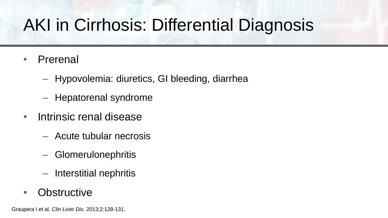# AKI in Cirrhosis: Differential Diagnosis

- Prerenal
	- Hypovolemia: diuretics, GI bleeding, diarrhea
	- Hepatorenal syndrome
- Intrinsic renal disease
	- Acute tubular necrosis
	- Glomerulonephritis
	- Interstitial nephritis
- Obstructive

Graupera I et al. *Clin Liver Dis*. 2013;2:128-131.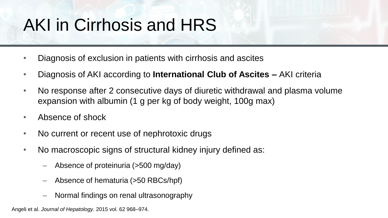# AKI in Cirrhosis and HRS

- Diagnosis of exclusion in patients with cirrhosis and ascites
- Diagnosis of AKI according to **International Club of Ascites –** AKI criteria
- No response after 2 consecutive days of diuretic withdrawal and plasma volume expansion with albumin (1 g per kg of body weight, 100g max)
- Absence of shock
- No current or recent use of nephrotoxic drugs
- No macroscopic signs of structural kidney injury defined as:
	- Absence of proteinuria (>500 mg/day)
	- Absence of hematuria (>50 RBCs/hpf)
	- Normal findings on renal ultrasonography

Angeli et al. *Journal of Hepatology*. 2015 vol. 62 968–974.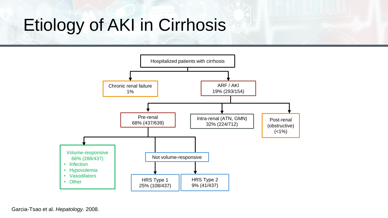# Etiology of AKI in Cirrhosis



Garcia-Tsao et al. *Hepatology*. 2008.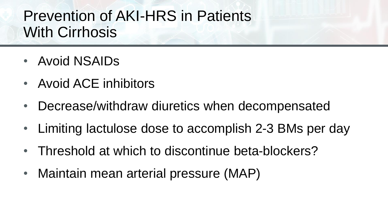### Prevention of AKI-HRS in Patients With Cirrhosis

- Avoid NSAIDs
- Avoid ACE inhibitors
- Decrease/withdraw diuretics when decompensated
- Limiting lactulose dose to accomplish 2-3 BMs per day
- Threshold at which to discontinue beta-blockers?
- Maintain mean arterial pressure (MAP)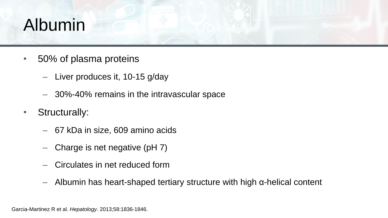# Albumin

- 50% of plasma proteins
	- Liver produces it, 10-15 g/day
	- 30%-40% remains in the intravascular space
- Structurally:
	- 67 kDa in size, 609 amino acids
	- Charge is net negative (pH 7)
	- Circulates in net reduced form
	- Albumin has heart-shaped tertiary structure with high α-helical content

Garcia-Martinez R et al. *Hepatology*. 2013;58:1836-1846.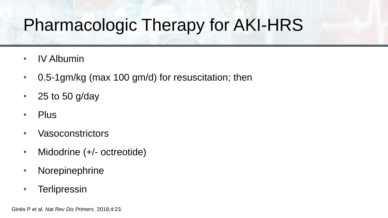# Pharmacologic Therapy for AKI-HRS

- IV Albumin
- 0.5-1gm/kg (max 100 gm/d) for resuscitation; then
- 25 to 50 g/day
- Plus
- Vasoconstrictors
- Midodrine (+/- octreotide)
- Norepinephrine
- Terlipressin

Ginès P et al. *Nat Rev Dis Primers*. 2018;4:23.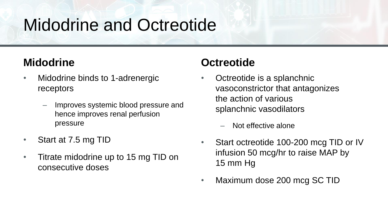# Midodrine and Octreotide

#### **Midodrine**

- Midodrine binds to 1-adrenergic receptors
	- Improves systemic blood pressure and hence improves renal perfusion pressure
- Start at 7.5 mg TID
- Titrate midodrine up to 15 mg TID on consecutive doses

#### **Octreotide**

- Octreotide is a splanchnic vasoconstrictor that antagonizes the action of various splanchnic vasodilators
	- Not effective alone
- Start octreotide 100-200 mcg TID or IV infusion 50 mcg/hr to raise MAP by 15 mm Hg
- Maximum dose 200 mcg SC TID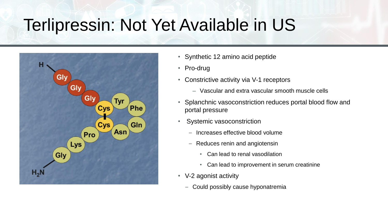## Terlipressin: Not Yet Available in US



- Synthetic 12 amino acid peptide
- Pro-drug
- Constrictive activity via V-1 receptors
	- Vascular and extra vascular smooth muscle cells
- Splanchnic vasoconstriction reduces portal blood flow and portal pressure
- Systemic vasoconstriction
	- Increases effective blood volume
	- Reduces renin and angiotensin
		- Can lead to renal vasodilation
		- Can lead to improvement in serum creatinine
- V-2 agonist activity
	- Could possibly cause hyponatremia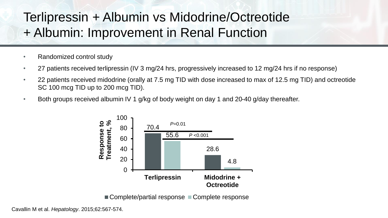#### Terlipressin + Albumin vs Midodrine/Octreotide + Albumin: Improvement in Renal Function

- Randomized control study
- 27 patients received terlipressin (IV 3 mg/24 hrs, progressively increased to 12 mg/24 hrs if no response)
- 22 patients received midodrine (orally at 7.5 mg TID with dose increased to max of 12.5 mg TID) and octreotide SC 100 mcg TID up to 200 mcg TID).
- Both groups received albumin IV 1 g/kg of body weight on day 1 and 20-40 g/day thereafter.



Cavallin M et al. *Hepatology*. 2015;62:567-574.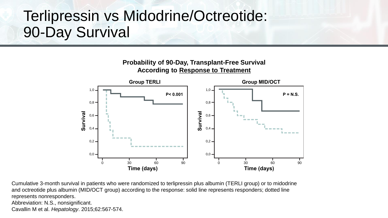#### Terlipressin vs Midodrine/Octreotide: 90-Day Survival



Cumulative 3-month survival in patients who were randomized to terlipressin plus albumin (TERLI group) or to midodrine and octreotide plus albumin (MID/OCT group) according to the response: solid line represents responders; dotted line represents nonresponders. Abbreviation: N.S., nonsignificant.

Cavallin M et al. *Hepatology*. 2015;62:567-574.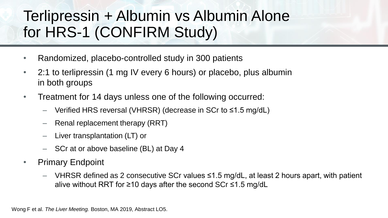### Terlipressin + Albumin vs Albumin Alone for HRS-1 (CONFIRM Study)

- Randomized, placebo-controlled study in 300 patients
- 2:1 to terlipressin (1 mg IV every 6 hours) or placebo, plus albumin in both groups
- Treatment for 14 days unless one of the following occurred:
	- Verified HRS reversal (VHRSR) (decrease in SCr to ≤1.5 mg/dL)
	- Renal replacement therapy (RRT)
	- Liver transplantation (LT) or
	- SCr at or above baseline (BL) at Day 4
- Primary Endpoint
	- VHRSR defined as 2 consecutive SCr values ≤1.5 mg/dL, at least 2 hours apart, with patient alive without RRT for ≥10 days after the second SCr ≤1.5 mg/dL

Wong F et al. *The Liver Meeting.* Boston, MA 2019, Abstract LO5.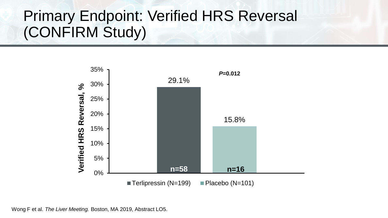#### Primary Endpoint: Verified HRS Reversal (CONFIRM Study)



Wong F et al. *The Liver Meeting.* Boston, MA 2019, Abstract LO5.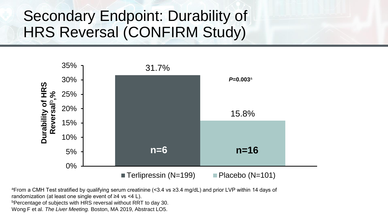### Secondary Endpoint: Durability of HRS Reversal (CONFIRM Study)



<sup>a</sup>From a CMH Test stratified by qualifying serum creatinine (<3.4 vs ≥3.4 mg/dL) and prior LVP within 14 days of randomization (at least one single event of ≥4 vs <4 L). bPercentage of subjects with HRS reversal without RRT to day 30. Wong F et al. *The Liver Meeting.* Boston, MA 2019, Abstract LO5.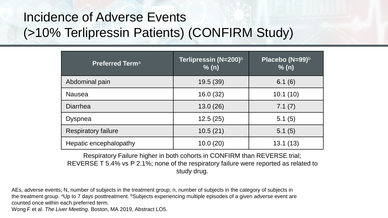#### Incidence of Adverse Events (>10% Terlipressin Patients) (CONFIRM Study)

| <b>Preferred Terma</b>     | Terlipressin (N=200) <sup>b</sup><br>% (n) | Placebo (N=99)b<br>% (n) |
|----------------------------|--------------------------------------------|--------------------------|
| Abdominal pain             | 19.5(39)                                   | 6.1(6)                   |
| <b>Nausea</b>              | 16.0(32)                                   | 10.1(10)                 |
| Diarrhea                   | 13.0(26)                                   | 7.1(7)                   |
| <b>Dyspnea</b>             | 12.5(25)                                   | 5.1(5)                   |
| <b>Respiratory failure</b> | 10.5(21)                                   | 5.1(5)                   |
| Hepatic encephalopathy     | 10.0(20)                                   | 13.1(13)                 |

Respiratory Failure higher in both cohorts in CONFIRM than REVERSE trial; REVERSE T 5.4% vs P 2.1%; none of the respiratory failure were reported as related to study drug.

AEs, adverse events; N, number of subjects in the treatment group; n, number of subjects in the category of subjects in the treatment group. <sup>a</sup>Up to 7 days posttreatment. <sup>b</sup>Subjects experiencing multiple episodes of a given adverse event are counted once within each preferred term.

Wong F et al. *The Liver Meeting.* Boston, MA 2019, Abstract LO5.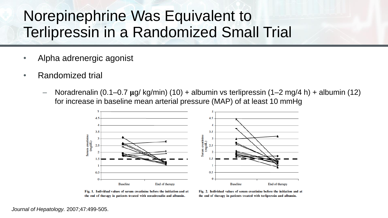#### Norepinephrine Was Equivalent to Terlipressin in a Randomized Small Trial

- Alpha adrenergic agonist
- Randomized trial
	- Noradrenalin (0.1–0.7  $\mu$ g/ kg/min) (10) + albumin vs terlipressin (1–2 mg/4 h) + albumin (12) for increase in baseline mean arterial pressure (MAP) of at least 10 mmHg



Fig. 1. Individual values of serum creatinine before the initiation and at the end of therapy in patients treated with noradrenalin and albumin.

Fig. 2. Individual values of serum creatinine before the initiation and at the end of therapy in patients treated with terlipressin and albumin.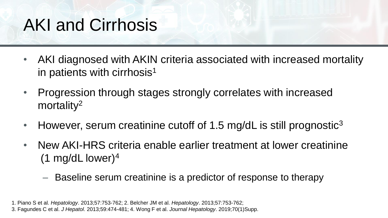# AKI and Cirrhosis

- AKI diagnosed with AKIN criteria associated with increased mortality in patients with cirrhosis<sup>1</sup>
- Progression through stages strongly correlates with increased mortality<sup>2</sup>
- However, serum creatinine cutoff of 1.5 mg/dL is still prognostic<sup>3</sup>
- New AKI-HRS criteria enable earlier treatment at lower creatinine  $(1 \text{ mg/dL lower})^4$ 
	- Baseline serum creatinine is a predictor of response to therapy

1. Piano S et al. *Hepatology*. 2013;57:753-762; 2. Belcher JM et al. *Hepatology*. 2013;57:753-762;

3. Fagundes C et al. *J Hepatol*. 2013;59:474-481; 4. Wong F et al. *Journal Hepatology*. 2019;70(1)Supp.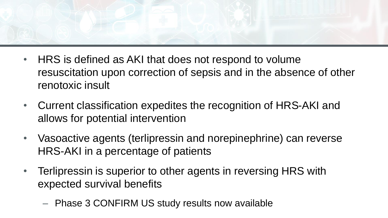

- HRS is defined as AKI that does not respond to volume resuscitation upon correction of sepsis and in the absence of other renotoxic insult
- Current classification expedites the recognition of HRS-AKI and allows for potential intervention
- Vasoactive agents (terlipressin and norepinephrine) can reverse HRS-AKI in a percentage of patients
- Terlipressin is superior to other agents in reversing HRS with expected survival benefits
	- Phase 3 CONFIRM US study results now available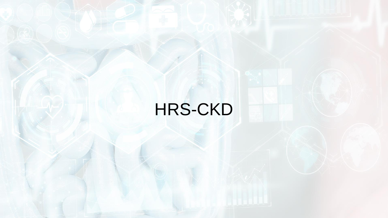# HRS-CKD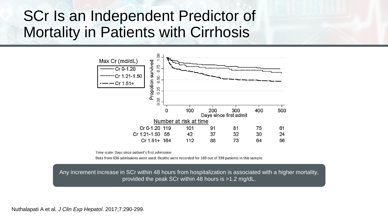#### SCr Is an Independent Predictor of Mortality in Patients with Cirrhosis



Time scale: Days since patient's first admission

Data from 636 admissions were used. Deaths were recorded for 169 out of 339 patients in this sample.

Any increment increase in SCr within 48 hours from hospitalization is associated with a higher mortality, provided the peak SCr within 48 hours is >1.2 mg/dL.

Nuthalapati A et al*. J Clin Exp Hepatol*. 2017;7:290-299.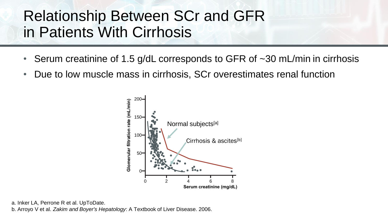#### Relationship Between SCr and GFR in Patients With Cirrhosis

- Serum creatinine of 1.5 g/dL corresponds to GFR of ~30 mL/min in cirrhosis
- Due to low muscle mass in cirrhosis, SCr overestimates renal function



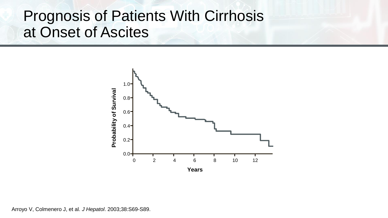#### Prognosis of Patients With Cirrhosis at Onset of Ascites

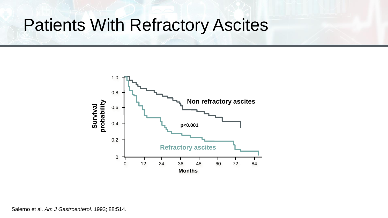### Patients With Refractory Ascites

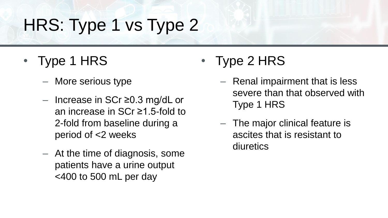# HRS: Type 1 vs Type 2

- Type 1 HRS
	- More serious type
	- Increase in SCr ≥0.3 mg/dL or an increase in SCr ≥1.5-fold to 2-fold from baseline during a period of <2 weeks
	- At the time of diagnosis, some patients have a urine output <400 to 500 mL per day

• Type 2 HRS

- Renal impairment that is less severe than that observed with Type 1 HRS
- The major clinical feature is ascites that is resistant to diuretics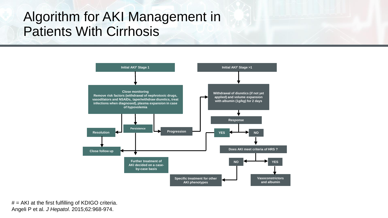#### Algorithm for AKI Management in Patients With Cirrhosis



 $# = AKI$  at the first fulfilling of KDIGO criteria. Angeli P et al. *J Hepatol*. 2015;62:968-974.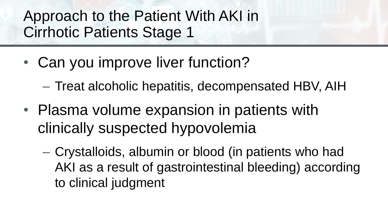Approach to the Patient With AKI in Cirrhotic Patients Stage 1

- Can you improve liver function?
	- Treat alcoholic hepatitis, decompensated HBV, AIH
- Plasma volume expansion in patients with clinically suspected hypovolemia
	- Crystalloids, albumin or blood (in patients who had AKI as a result of gastrointestinal bleeding) according to clinical judgment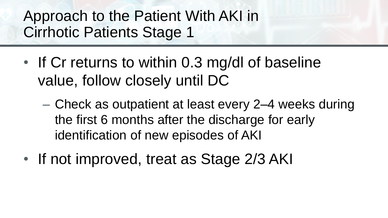Approach to the Patient With AKI in Cirrhotic Patients Stage 1

- If Cr returns to within 0.3 mg/dl of baseline value, follow closely until DC
	- Check as outpatient at least every 2–4 weeks during the first 6 months after the discharge for early identification of new episodes of AKI
- If not improved, treat as Stage 2/3 AKI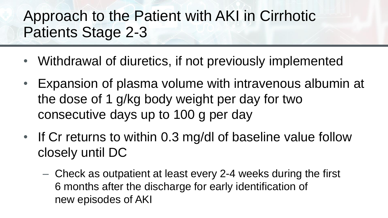### Approach to the Patient with AKI in Cirrhotic Patients Stage 2-3

- Withdrawal of diuretics, if not previously implemented
- Expansion of plasma volume with intravenous albumin at the dose of 1 g/kg body weight per day for two consecutive days up to 100 g per day
- If Cr returns to within 0.3 mg/dl of baseline value follow closely until DC
	- Check as outpatient at least every 2-4 weeks during the first 6 months after the discharge for early identification of new episodes of AKI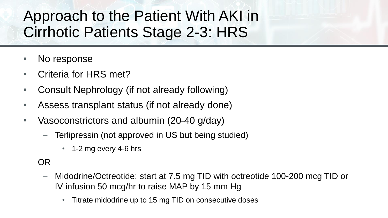### Approach to the Patient With AKI in Cirrhotic Patients Stage 2-3: HRS

- No response
- Criteria for HRS met?
- Consult Nephrology (if not already following)
- Assess transplant status (if not already done)
- Vasoconstrictors and albumin (20-40 g/day)
	- Terlipressin (not approved in US but being studied)
		- 1-2 mg every 4-6 hrs
	- OR
		- Midodrine/Octreotide: start at 7.5 mg TID with octreotide 100-200 mcg TID or IV infusion 50 mcg/hr to raise MAP by 15 mm Hg
			- Titrate midodrine up to 15 mg TID on consecutive doses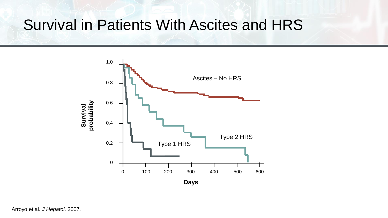#### Survival in Patients With Ascites and HRS



Arroyo et al. *J Hepatol*. 2007.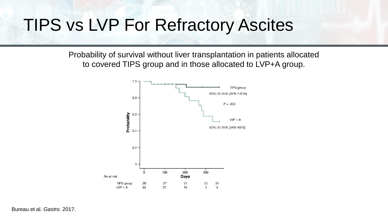### TIPS vs LVP For Refractory Ascites

Probability of survival without liver transplantation in patients allocated to covered TIPS group and in those allocated to LVP+A group.



Bureau et al. *Gastro*. 2017.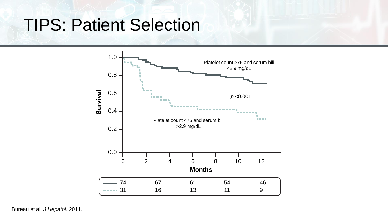### TIPS: Patient Selection



Bureau et al. *J Hepatol*. 2011.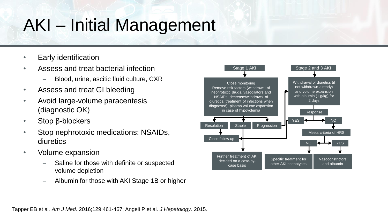# AKI – Initial Management

- Early identification
- Assess and treat bacterial infection
	- Blood, urine, ascitic fluid culture, CXR
- Assess and treat GI bleeding
- Avoid large-volume paracentesis (diagnostic OK)
- Stop β-blockers
- Stop nephrotoxic medications: NSAIDs, diuretics
- Volume expansion
	- Saline for those with definite or suspected volume depletion
	- Albumin for those with AKI Stage 1B or higher



Tapper EB et al*. Am J Med*. 2016;129:461-467; Angeli P et al. *J Hepatology*. 2015.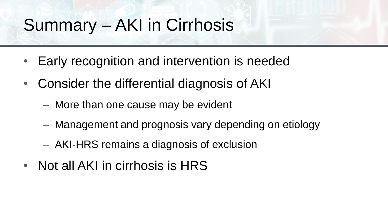# Summary – AKI in Cirrhosis

- Early recognition and intervention is needed
- Consider the differential diagnosis of AKI
	- More than one cause may be evident
	- Management and prognosis vary depending on etiology
	- AKI-HRS remains a diagnosis of exclusion
- Not all AKI in cirrhosis is HRS